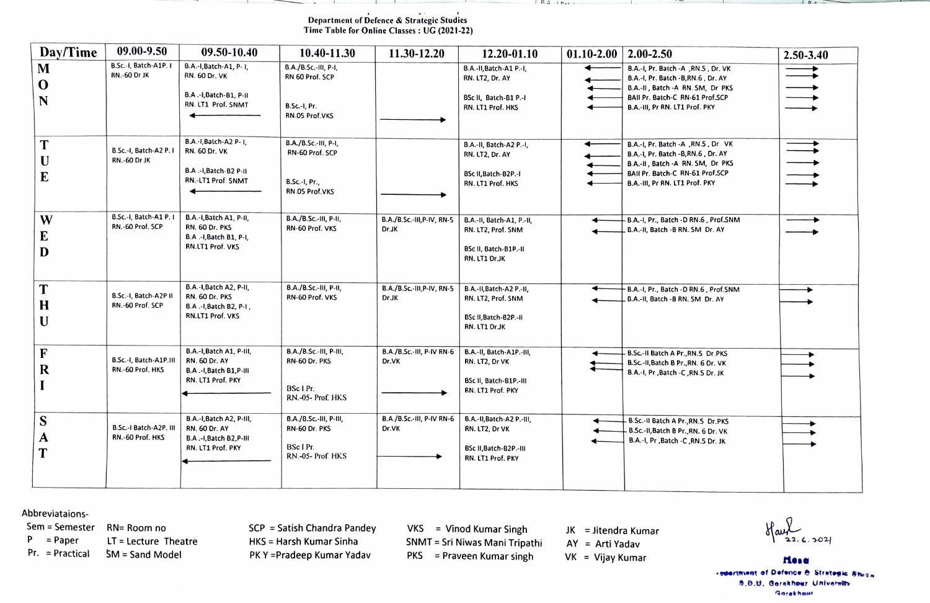## Department of Defence & Strategie Studies Time Table for Online Classes: UG (2021-22)

| Day/Time              | 09.00-9.50                                    | 09.50-10.40                                                                                             | 10.40-11.30                                                                       | 11.30-12.20                                | 12.20-01.10                                                                                    | $01.10 - 2.00$ | $2.00 - 2.50$                                                                                                                                                                          | 2.50-3.40 |
|-----------------------|-----------------------------------------------|---------------------------------------------------------------------------------------------------------|-----------------------------------------------------------------------------------|--------------------------------------------|------------------------------------------------------------------------------------------------|----------------|----------------------------------------------------------------------------------------------------------------------------------------------------------------------------------------|-----------|
| M<br>$\bf{0}$<br>N    | B.Sc.-I, Batch-A1P. I<br>RN.-60 Dr JK         | B.A.-I, Batch-A1, P-1,<br><b>RN. 60 Dr. VK</b><br>B.A .- I, Batch-B1, P-II<br>RN. LT1 Prof. SNMT        | B.A./B.Sc.-III, P-I,<br>RN 60 Prof. SCP<br><b>B.Sc.-I, Pr.</b><br>RN.05 Prof.VKS  |                                            | B.A.-II, Batch-A1 P.-I,<br>RN. LT2, Dr. AY<br>BSc II, Batch-B1 P.-I<br>RN. LT1 Prof. HKS       |                | B.A.-I, Pr. Batch -A , RN.S , Dr. VK<br>B.A.-I, Pr. Batch -B,RN.6, Dr. AY<br>B.A .- II , Batch - A RN. SM, Dr PKS<br>BAII Pr. Batch-C RN-61 Prof.SCP<br>B.A.-III, Pr RN. LT1 Prof. PKY |           |
| T<br>U<br>E           | B.Sc.-I, Batch-A2 P. I<br><b>RN.-60 Dr JK</b> | B.A.-I, Batch-A2 P- I.<br><b>RN. 60 Dr. VK</b><br><b>B.A.-I, Batch-B2 P-II</b><br>RN.-LT1 Prof. SNMT    | B.A./B.Sc.-III, P-I,<br>RN-60 Prof. SCP<br><b>B.Sc.-I, Pr.,</b><br>RN.05 Prof.VKS |                                            | B.A.-II, Batch-A2 P.-I,<br><b>RN. LT2, Dr. AY</b><br>BSc II, Batch-B2P.-I<br>RN. LT1 Prof. HKS |                | B.A.-I, Pr. Batch -A , RN.5, Dr. VK<br>B.A.-I, Pr. Batch - B, RN.6, Dr. AY<br>B.A.-II, Batch -A RN. SM, Dr PKS<br>BAII Pr. Batch-C RN-61 Prof.SCP<br>B.A.-III, Pr RN. LT1 Prof. PKY    |           |
| W<br>E<br>D           | B.Sc.-I, Batch-A1 P. I<br>RN.-60 Prof. SCP    | B.A.-I, Batch A1, P-II,<br><b>RN. 60 Dr. PKS</b><br>B.A .- I, Batch B1, P-I,<br>RN.LT1 Prof. VKS        | B.A./B.Sc.-III, P-II,<br>RN-60 Prof. VKS                                          | B.A./B.Sc.-III,P-IV, RN-5<br>Dr.JK         | B.A.-II, Batch-A1, P.-II,<br>RN. LT2, Prof. SNM<br>BSc II, Batch-B1P.-II<br>RN. LT1 Dr.JK      |                | - B.A.-I, Pr., Batch -D RN.6, Prof.SNM<br>B.A.-II, Batch -B RN. SM Dr. AY                                                                                                              |           |
| T<br>H<br>U           | B.Sc.-I, Batch-A2P II<br>RN.-60 Prof. SCP     | B.A.-I, Batch A2, P-II,<br><b>RN. 60 Dr. PKS</b><br>B.A .- I, Batch B2, P-I,<br>RN.LT1 Prof. VKS        | B.A./B.Sc.-III, P-II,<br>RN-60 Prof. VKS                                          | B.A./B.Sc.-III, P-IV, RN-5<br><b>Dr.JK</b> | B.A.-II, Batch-A2 P.-II,<br>RN. LT2, Prof. SNM<br>BSc II, Batch-B2P.-II<br>RN. LT1 DrJK        |                | - B.A.-I, Pr., Batch -D RN.6, Prof.SNM<br>B.A.-II, Batch -B RN. SM Dr. AY                                                                                                              |           |
| F<br>$\bf R$          | B.Sc.-I, Batch-A1P.III<br>RN.-60 Prof. HKS    | B.A.-I, Batch A1, P-III,<br><b>RN. 60 Dr. AY</b><br>B.A .- I, Batch B1, P-III<br>RN. LT1 Prof. PKY      | B.A./B.Sc.-III, P-III,<br>RN-60 Dr. PKS<br>BSc I Pr.<br>RN.-05- Prof. HKS         | B.A./B.Sc.-III, P-IV RN-6<br>Dr.VK         | B.A.-II, Batch-A1P.-III.<br>RN. LT2, Dr VK<br>BSc II, Batch-B1P .- III<br>RN. LT1 Prof. PKY    |                | B.Sc.-Il Batch A Pr., RN.5 Dr.PKS<br>B.Sc.-II, Batch B Pr., RN. 6 Dr. VK<br>B.A.-I, Pr , Batch -C , RN.5 Dr. JK                                                                        |           |
| S<br>$\mathbf A$<br>T | B.Sc.-I Batch-A2P. III<br>RN.-60 Prof. HKS    | B.A.-I, Batch A2, P-III,<br><b>RN. 60 Dr. AY</b><br><b>B.A.-I, Batch B2, P-III</b><br>RN. LT1 Prof. PKY | B.A./B.Sc.-III, P-III,<br>RN-60 Dr. PKS<br>BSc I Pr.<br>RN.-05- Prof. HKS         | B.A./B.Sc.-III, P-IV RN-6<br>Dr.VK         | B.A.-II, Batch-A2 P.-III,<br>RN. LT2, Dr VK<br>BSc II, Batch-B2P.-III<br>RN. LT1 Prof. PKY     |                | B.Sc.-II Batch A Pr., RN.5 Dr. PKS<br>B.Sc.-II, Batch B Pr., RN. 6 Dr. VK<br>B.A.-I, Pr , Batch -C , RN.5 Dr. JK                                                                       |           |

 $H \Delta$   $H$ 

Abbreviataions-<br>Sem = Semester

Sem = Semester RN= Room no SCP = Satish Chandra Pandey VKS = Vinod Kumar Singh<br>P = Paper LT = Lecture Theatre HKS = Harsh Kumar Sinha SNMT = Sri Niwas Mani Trinz P = Paper LT = Lecture Theatre HKS = Harsh Kumar Sinha SNMT = Sri Niwas Mani Tripathi AY = Arti Yadav Paper Paper Paper **SM = Sand Model** 

HKS = Harsh Kumar Sinha PKY =Pradeep Kumar Yadav Pr. = Practical SM = Sand Model **Model PRATER Pradeep Kumar Yadav** PKS = Praveen Kumar singh VK = Vijay Kumar

JK = Jitendra Kumar  $AY = Arti Yadav$ 

 $1 - 0 - 1$ 

**rtendies**<br>**reservent of Detence & Strategic 8ws**s 9.0.U. Gerakhour University **GorekhoNt**